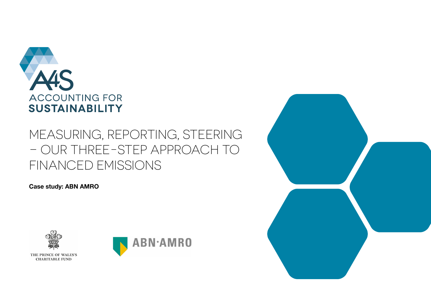

# MEASURING, REPORTING, STEERING – OUR THREE-STEP APPROACH TO FINANCED EMISSIONS

**Case study: ABN AMRO**





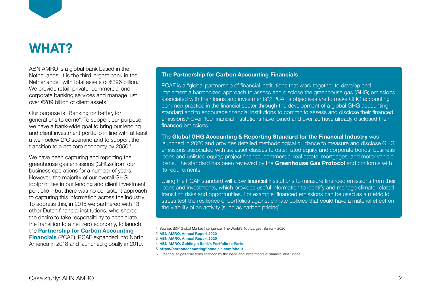

### **WHAT?**

ABN AMRO is a global bank based in the Netherlands. It is the third largest bank in the Netherlands,<sup>1</sup> with total assets of  $\epsilon$ 396 billion.<sup>2</sup> We provide retail, private, commercial and corporate banking services and manage just over €289 billion of client assets.3

Our purpose is "Banking for better, for generations to come". To support our purpose, we have a bank-wide goal to bring our lending and client investment portfolio in line with at least a well-below 2°C scenario and to support the transition to a net zero economy by 2050.4

We have been capturing and reporting the greenhouse gas emissions (GHGs) from our business operations for a number of years. However, the majority of our overall GHG footprint lies in our lending and client investment portfolio – but there was no consistent approach to capturing this information across the industry. To address this, in 2015 we partnered with 13 other Dutch financial institutions, who shared the desire to take responsibility to accelerate the transition to a net zero economy, to launch the **[Partnership for Carbon Accounting](https://carbonaccountingfinancials.com/)  [Financials](https://carbonaccountingfinancials.com/)** (PCAF). PCAF expanded into North America in 2018 and launched globally in 2019.

#### **The Partnership for Carbon Accounting Financials**

PCAF is a "global partnership of financial institutions that work together to develop and implement a harmonized approach to assess and disclose the greenhouse gas (GHG) emissions associated with their loans and investments".5 PCAF's objectives are to make GHG accounting common practice in the financial sector through the development of a global GHG accounting standard and to encourage financial institutions to commit to assess and disclose their financed emissions.<sup>6</sup> Over 100 financial institutions have joined and over 20 have already disclosed their financed emissions.

The **[Global GHG Accounting & Reporting Standard for the Financial Industry](https://carbonaccountingfinancials.com/files/downloads/PCAF-Global-GHG-Standard.pdf)** was launched in 2020 and provides detailed methodological guidance to measure and disclose GHG emissions associated with six asset classes to date: listed equity and corporate bonds; business loans and unlisted equity; project finance; commercial real estate; mortgages; and motor vehicle loans. The standard has been reviewed by the **[Greenhouse Gas Protocol](https://ghgprotocol.org/)** and conforms with its requirements.

Using the PCAF standard will allow financial institutions to measure financed emissions from their loans and investments, which provides useful information to identify and manage climate-related transition risks and opportunities. For example, financed emissions can be used as a metric to stress test the resilience of portfolios against climate policies that could have a material effect on the viability of an activity (such as carbon pricing).

<sup>1.</sup> Source: S&P Global Market Intelligence. The World's 100 Largest Banks – 2020

<sup>2.</sup> **[ABN AMRO, Annual Report 2020](https://assets.ctfassets.net/1u811bvgvthc/1IHlVdHZhHfAR8ODgWySms/ab7a4883991a87691f05796a2bea6524/ABN_AMRO_____Annual_Report_2020.pdf)**

<sup>3.</sup> **[ABN AMRO, Annual Report 2020](https://assets.ctfassets.net/1u811bvgvthc/1IHlVdHZhHfAR8ODgWySms/ab7a4883991a87691f05796a2bea6524/ABN_AMRO_____Annual_Report_2020.pdf)**

<sup>4.</sup> **[ABN AMRO, Guiding a Bank's Portfolio to Paris](https://assets.ctfassets.net/1u811bvgvthc/2zR80rifcwjQsML9vP5XFQ/6dbe49127fd5d34dec98115e2fbde240/ABN_AMRO_Guiding_a_Bank-s_Portfolio_to_Paris.pdf)**

<sup>5.</sup> **<https://carbonaccountingfinancials.com/about>**

<sup>6.</sup> Greenhouse gas emissions financed by the loans and investments of financial institutions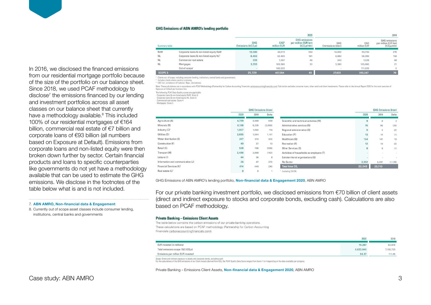#### **GHG Emissions of ABN AMRO's lending portfolio**

|               |                                                     |                                               |                           | 2020                                                        | 2019                     |                    |                                                                          |  |
|---------------|-----------------------------------------------------|-----------------------------------------------|---------------------------|-------------------------------------------------------------|--------------------------|--------------------|--------------------------------------------------------------------------|--|
| Summary table |                                                     | <b>GHG</b><br>Emissions (ktCO <sub>2</sub> e) | <b>EAD</b><br>million EUR | <b>GHG</b> emissions<br>per million EUR lent<br>(tCO,e/min) | GHG<br>Emmissions (kton) | EAD<br>million EUR | <b>GHG</b> emissions<br>per million EUR lent<br>(tCO <sub>2</sub> e/mln) |  |
| RoW           | Corporate loans & non-listed equity RoW             | 13,580                                        | 40,619                    | 334                                                         | 14,832                   | 53,734             | 276                                                                      |  |
| <b>NL</b>     | Corporate loans & non-listed equity NL <sup>2</sup> | 8,463                                         | 52,409                    | 161                                                         | 8,882                    | 56,999             | 156                                                                      |  |
| <b>NL</b>     | Commercial real estate                              | 333                                           | 7.207                     | 46                                                          | 340                      | 7,028              | 48                                                                       |  |
| <b>NL</b>     | Mortgages                                           | 3,353                                         | 163,586                   | 20                                                          | 3,380                    | 163,860            | 21                                                                       |  |
|               | Out-of-scope <sup>1</sup>                           |                                               | 143,533                   |                                                             |                          | 111,626            | $\circ$                                                                  |  |
| SCOPE 3:      |                                                     | 25,729                                        | 407,354                   | 63                                                          | 27,433                   | 393.247            | 70                                                                       |  |

Clients out -of scope, including consumer lending, institutions, central banks and governments.

Includes clients where country is missing <sup>3</sup> FAD incl. on-balance off balance. Beno, derivatives).

Note: These calculations are in accordance with PCAF Methodology (Partnership for Carbon Accounting Financials carbonaccountingfinancials com). Calculation excludes consumer loans, other retail and client investments. Plea Exposure at Default per business line

The following PCAF Data Quality scores are applicable:

- Corporate Ioans & non-listed equity RoW: Score 5<br>- Corporate Ioans & non-listed equity NL: Score 5

Commercial real estate: Score 4

Mortgages: Score 5

|                                     | <b>GHG Emissions (kton)</b> |       |         |                                           | <b>GHG Emissions (kton)</b> |                |                |
|-------------------------------------|-----------------------------|-------|---------|-------------------------------------------|-----------------------------|----------------|----------------|
|                                     | 2020                        | 2019  | Delta   |                                           | 2020                        | 2019           | Delta          |
| Agriculture (A)                     | 4,799                       | 3,969 | 830     | Scientific and technical activities (M)   | 9                           | 6              | $\overline{2}$ |
| Minerals (B)                        | 6,168                       | 8,235 | (2,066) | Administrative services (N)               | 76                          | 96             | (20)           |
| Industry (C) <sup>1</sup>           | 1,957                       | 1,842 | 114     | Regional administration (0)               | $\mathbf{0}$                | $\overline{2}$ | (2)            |
| Utilities (D)                       | 2,685                       | 1,544 | 1,141   | Education (P)                             | 13                          | 14             | (1)            |
| Water distribution (E)              | 247                         | 310   | (63)    | Healthcare (Q)                            | 154                         | 141            | 13             |
| Construction (F)                    | 49                          | 37    | 13      | Recreation (R)                            | 12                          | 14             | (2)            |
| Retail (G)                          | 528                         | 796   | (268)   | Other Services (S)                        | 8                           | $\overline{9}$ | (1)            |
| Transport (H)                       | 2,486                       | 2,668 | (182)   | Activities of households as employers (T) |                             | $\sim$         | $\sim$         |
| Leisure (I)                         | 44                          | 36    | 8       | Extraterritorial organisations (U)        |                             |                |                |
| Information and communication (J)   | 24                          | 47    | (23)    | No Sector                                 | 2,362                       | 3,491          | (1, 129)       |
| Financial Services (K) <sup>1</sup> | 414                         | 449   | (36)    | <b>Total kton CO<sub>2</sub></b>          | 22,043                      | 23,713         |                |
| Real estate (L) <sup>1</sup>        | $\overline{9}$              | 8     |         | Excluding CB CRE.                         |                             |                |                |

GHG Emissions of ABN AMRO's lending portfolio, **[Non-financial data & Engagement 2020](https://assets.ctfassets.net/1u811bvgvthc/1olpiWHspce4AM7JExHm0a/b9dc3ce18d9f8a1e3fd5c5494c185733/ABN-AMRO_Non-financial_data_and_Engagement_2020.pdf)**, ABN AMRO

table below what is and is not included. For our private banking investment portfolio, we disclosed emissions from €70 billion of client assets (direct and indirect exposure to stocks and corporate bonds, excluding cash). Calculations are also based on PCAF methodology.

#### **Private Banking - Emissions Client Assets**

The table below contains the carbon emissions of our private banking operations. These calculations are based on PCAF methodology (Partnership for Carbon Accounting Financials carbonaccountingfinancials.com).

| 2020                                                                           |        | 2019      |
|--------------------------------------------------------------------------------|--------|-----------|
| EUR invested (in millions)                                                     | 70,287 | 63,976    |
| Total emissions scope 1&2 (tCO2e)                                              |        | 7,155,723 |
| Emissions per million EUR invested                                             |        | 111.85    |
| and Nissa and indicate amounts in attacks and approach boundary and discussion |        |           |

For the calculations of the GHG emissions of our Client Assets (derived from ISS), the PCAF Quality Data Score ranges from Score 1 to 4 depending on the data available per company

Private Banking – Emissions Client Assets, **[Non-financial data & Engagement 2020](https://assets.ctfassets.net/1u811bvgvthc/1olpiWHspce4AM7JExHm0a/b9dc3ce18d9f8a1e3fd5c5494c185733/ABN-AMRO_Non-financial_data_and_Engagement_2020.pdf)**, ABN AMRO

In 2016, we disclosed the financed emissions from our residential mortgage portfolio because of the size of the portfolio on our balance sheet. Since 2018, we used PCAF methodology to disclose<sup>7</sup> the emissions financed by our lending and investment portfolios across all asset classes on our balance sheet that currently have a methodology available.<sup>8</sup> This included 100% of our residential mortgages of €164 billion, commercial real estate of €7 billion and corporate loans of €93 billion (all numbers based on Exposure at Default). Emissions from corporate loans and non-listed equity were then broken down further by sector. Certain financial products and loans to specific counterparties like governments do not yet have a methodology available that can be used to estimate the GHG emissions. We disclose in the footnotes of the

#### 7. **[ABN AMRO, Non-financial data & Engagement](https://assets.ctfassets.net/1u811bvgvthc/1olpiWHspce4AM7JExHm0a/b9dc3ce18d9f8a1e3fd5c5494c185733/ABN-AMRO_Non-financial_data_and_Engagement_2020.pdf)**

8. Currently out of scope asset classes include consumer lending, institutions, central banks and governments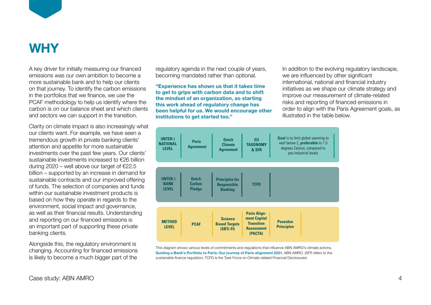

# **WHY**

A key driver for initially measuring our financed emissions was our own ambition to become a more sustainable bank and to help our clients incre cactal lable can wand to help can ellente<br>on that journey. To identify the carbon emissions in the portfolios that we finance, we use the PCAF methodology to help us identify where the carbon is on our balance sheet and which clients and sectors we can support in the transition. ch mat journey. To it Stabbility Board Board in Climate Stability Board Financial Disclosures

Clarity on climate impact is also increasingly what our clients want. For example, we have seen a tremendous growth in private banking clients' attention and appetite for more sustainable investments over the past few years. Our clients' sustainable investments increased to €26 billion during 2020 – well above our target of  $E$ 22.5 billion – supported by an increase in demand for sustainable contracts and our improved offering of funds. The selection of companies and funds within our sustainable investment products is based on how they operate in regards to the environment, social impact and governance, as well as their financial results. Understanding as were as their in ian old results. Onderstand<br>and reporting on our financed emissions is an important part of supporting these private the context of the context of the banking clients. Clarity on climate impact is also increasingly what  $\mu$ dinancial industriatives that develop guidance and methods for steering for steering for steering financial for steering financial for steering for steering financial for steering for steering financial for steering f

Alongside this, the regulatory environment is changing. Accounting for financed emissions is likely to become a much bigger part of the

regulatory agenda in the next couple of years, becoming mandated rather than optional. We are influenced

**"Experience has shown us that it takes time methods** as we shape **to get to grips with carbon data and to shift helial financial sector sector** financial sector research and development of broader financial sector research and development of broader financial sector research and devel **the mindset of an organization, so starting** improve our **this work ahead of regulatory change has ABN AMROYS AND TED AT AMELIAN been helpful for us. We would encourage other** order to align with institutions to get started too." **and pursuing the started too. and pursuing efforts in the table l**  $t_{\text{t}}$  the temperature increase to  $1.5^{\circ}$ 

In addition to the evolving regulatory landscape, we are influenced by other significant end and financial industry international, national and financial industry initiatives as we shape our climate strategy and improve our measurement of climate-related risks and reporting of financed emissions in order to align with the Paris Agreement goals, as illustrated in the table below.



This diagram shows various levels of commitments and regulations that influence ABN AMRO's climate actions, Changing. Accounting for financed emissions [Guiding a Bank's Portfolio to Paris: Our journey of Paris alignment 2021](https://assets.ctfassets.net/1u811bvgvthc/2zR80rifcwjQsML9vP5XFQ/6dbe49127fd5d34dec98115e2fbde240/ABN_AMRO_Guiding_a_Bank-s_Portfolio_to_Paris.pdf), ABN AMRO. (SFR refers to the sustainable finance regulation, TCFD is the Task Force on Climate-related Financial Disclosures)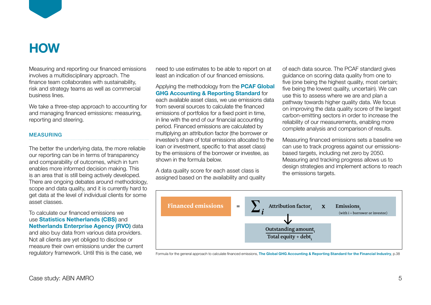

# **HOW**

Measuring and reporting our financed emissions involves a multidisciplinary approach. The finance team collaborates with sustainability, risk and strategy teams as well as commercial business lines.

We take a three-step approach to accounting for and managing financed emissions: measuring, reporting and steering.

### MEASURING

The better the underlying data, the more reliable our reporting can be in terms of transparency and comparability of outcomes, which in turn enables more informed decision making. This is an area that is still being actively developed. There are ongoing debates around methodology, scope and data quality, and it is currently hard to get data at the level of individual clients for some asset classes.

To calculate our financed emissions we use **[Statistics Netherlands \(CBS\)](https://www.cbs.nl/en-gb)** and **[Netherlands Enterprise Agency \(RVO\)](https://english.rvo.nl)** data and also buy data from various data providers. Not all clients are yet obliged to disclose or measure their own emissions under the current regulatory framework. Until this is the case, we

 $\epsilon$  need to use estimates to be able to report on at  $\qquad$  of each data source. The PCAF standare least an indication of our financed emissions.

Applying the methodology from the **[PCAF Global](https://carbonaccountingfinancials.com/files/downloads/PCAF-Global-GHG-Standard.pdf)  [GHG Accounting & Reporting Standard](https://carbonaccountingfinancials.com/files/downloads/PCAF-Global-GHG-Standard.pdf)** for each available asset class, we use emissions data from several sources to calculate the financed emissions of portfolios for a fixed point in time, in line with the end of our financial accounting period. Financed emissions are calculated by .<br>multiplying an attribution factor (the borrower or investee's share of total emissions allocated to the loan or investment, specific to that asset class) by the emissions of the borrower or investee, as shown in the formula below.

A data quality score for each asset class is assigned based on the availability and quality

of each data source. The PCAF standard gives guidance on scoring data quality from one to five (one being the highest quality, most certain; five being the lowest quality, uncertain). We can  $\frac{1}{2}$  accounting  $\alpha$  heporting standard for  $\alpha$  use this to assess where we are and plan a pathway towards higher quality data. We focus on improving the data quality score of the largest ions of portfolios for a fixed point in time, earbon-emitting sectors in order to increase the in the end of our milancial accounting reliability of our measurements, enabling more complete analysis and comparison of results.

ee's share of total emissions allocated to the Measuring financed emissions sets a baseline we can use to track progress against our emissionswestment, specific to that asset class) can use to thack progress against our emission<br>missions of the borrower or investee, as chased targets, including net zero by 2050. the formula below. The same institutions of the same companies with the formula below. design strategies and implement actions to reach the emissions targets.



Formula for the general approach to calculate financed emissions, **[The Global GHG Accounting & Reporting Standard for the Financial Industry](https://carbonaccountingfinancials.com/files/downloads/PCAF-Global-GHG-Standard.pdf)**, p.38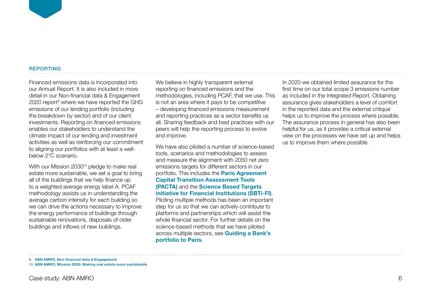#### REPORTING

Financed emissions data is incorporated into our Annual Report. It is also included in more detail in our Non-financial data & Engagement 2020 report<sup>9</sup> where we have reported the GHG emissions of our lending portfolio (including the breakdown by sector) and of our client investments. Reporting on financed emissions enables our stakeholders to understand the climate impact of our lending and investment activities as well as reinforcing our commitment to aligning our portfolios with at least a wellbelow 2°C scenario.

With our Mission 2030<sup>10</sup> pledge to make real estate more sustainable, we set a goal to bring all of the buildings that we help finance up to a weighted average energy label A. PCAF methodology assists us in understanding the average carbon intensity for each building so we can drive the actions necessary to improve the energy performance of buildings through sustainable renovations, disposals of older buildings and inflows of new buildings.

We believe in highly transparent external reporting on financed emissions and the methodologies, including PCAF, that we use. This is not an area where it pays to be competitive – developing financed emissions measurement and reporting practices as a sector benefits us all. Sharing feedback and best practices with our peers will help the reporting process to evolve and improve.

We have also piloted a number of science-based tools, scenarios and methodologies to assess and measure the alignment with 2050 net zero emissions targets for different sectors in our portfolio. This includes the **[Paris Agreement](https://2degrees-investing.org/resource/pacta/)  [Capital Transition Assessment Tools](https://2degrees-investing.org/resource/pacta/)  [\(PACTA\)](https://2degrees-investing.org/resource/pacta/)** and the **[Science Based Targets](https://sciencebasedtargets.org/sectors/financial-institutions)  [initiative for Financial Institutions \(SBTi-FI\)](https://sciencebasedtargets.org/sectors/financial-institutions)**. Piloting multiple methods has been an important step for us so that we can actively contribute to platforms and partnerships which will assist the whole financial sector. For further details on the science-based methods that we have piloted across multiple sectors, see **[Guiding a Bank's](https://assets.ctfassets.net/1u811bvgvthc/6sGh4HraHXoLD3FBqubLXe/61bff048e460ff735db9357826d39fe6/ABN_AMRO_Guiding_a_Bank-s_Portfolio_to_Paris.pdf)  [portfolio to Paris](https://assets.ctfassets.net/1u811bvgvthc/6sGh4HraHXoLD3FBqubLXe/61bff048e460ff735db9357826d39fe6/ABN_AMRO_Guiding_a_Bank-s_Portfolio_to_Paris.pdf)**.

In 2020 we obtained limited assurance for the first time on our total scope 3 emissions number as included in the Integrated Report. Obtaining assurance gives stakeholders a level of comfort in the reported data and the external critique helps us to improve the process where possible. The assurance process in general has also been helpful for us, as it provides a critical external view on the processes we have set up and helps us to improve them where possible.

<sup>9.</sup> **[ABN AMRO, Non-financial data & Engagement](https://assets.ctfassets.net/1u811bvgvthc/1olpiWHspce4AM7JExHm0a/b9dc3ce18d9f8a1e3fd5c5494c185733/ABN-AMRO_Non-financial_data_and_Engagement_2020.pdf)**

<sup>10.</sup> **[ABN AMRO, Mission 2030: Making real estate more sustainable](https://www.abnamro.com/en/themes/mission-2030-making-real-estate-more-sustainable)**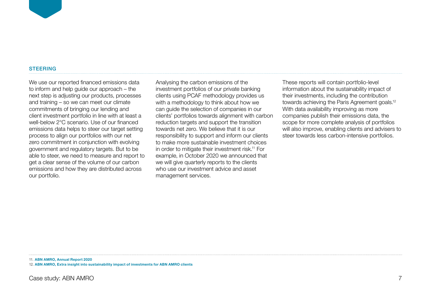#### **STEERING**

We use our reported financed emissions data to inform and help guide our approach – the next step is adjusting our products, processes and training – so we can meet our climate commitments of bringing our lending and client investment portfolio in line with at least a well-below 2°C scenario. Use of our financed emissions data helps to steer our target setting process to align our portfolios with our net zero commitment in conjunction with evolving government and regulatory targets. But to be able to steer, we need to measure and report to get a clear sense of the volume of our carbon emissions and how they are distributed across our portfolio.

Analysing the carbon emissions of the investment portfolios of our private banking clients using PCAF methodology provides us with a methodology to think about how we can guide the selection of companies in our clients' portfolios towards alignment with carbon reduction targets and support the transition towards net zero. We believe that it is our responsibility to support and inform our clients to make more sustainable investment choices in order to mitigate their investment risk.<sup>11</sup> For example, in October 2020 we announced that we will give quarterly reports to the clients who use our investment advice and asset management services.

These reports will contain portfolio-level information about the sustainability impact of their investments, including the contribution towards achieving the Paris Agreement goals.12 With data availability improving as more companies publish their emissions data, the scope for more complete analysis of portfolios will also improve, enabling clients and advisers to steer towards less carbon-intensive portfolios.

11. **[ABN AMRO, Annual Report 2020](https://assets.ctfassets.net/1u811bvgvthc/1IHlVdHZhHfAR8ODgWySms/ab7a4883991a87691f05796a2bea6524/ABN_AMRO_____Annual_Report_2020.pdf)**

12. **[ABN AMRO, Extra insight into sustainability impact of investments for ABN AMRO clients](https://www.abnamro.com/en/news/extra-insight-into-sustainability-impact-of-investments-for-abn-amro-clients)**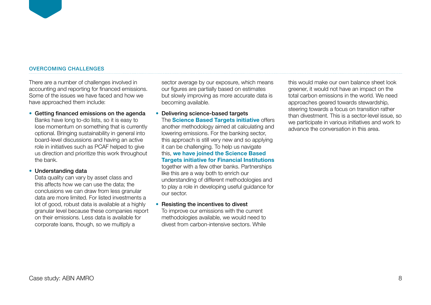#### OVERCOMING CHALLENGES

There are a number of challenges involved in accounting and reporting for financed emissions. Some of the issues we have faced and how we have approached them include:

**•** Getting financed emissions on the agenda Banks have long to-do lists, so it is easy to lose momentum on something that is currently optional. Bringing sustainability in general into board-level discussions and having an active role in initiatives such as PCAF helped to give us direction and prioritize this work throughout the bank.

**•** Understanding data

Data quality can vary by asset class and this affects how we can use the data; the conclusions we can draw from less granular data are more limited. For listed investments a lot of good, robust data is available at a highly granular level because these companies report on their emissions. Less data is available for corporate loans, though, so we multiply a

sector average by our exposure, which means our figures are partially based on estimates but slowly improving as more accurate data is becoming available.

### **•** Delivering science-based targets The **[Science Based Targets initiative](https://sciencebasedtargets.org/)** offers another methodology aimed at calculating and lowering emissions. For the banking sector, this approach is still very new and so applying it can be challenging. To help us navigate this, **[we have joined the Science Based](https://www.abnamro.com/en/news/how-far-is-abn-amro-along-the-road-to-paris)  [Targets initiative for Financial Institutions](https://www.abnamro.com/en/news/how-far-is-abn-amro-along-the-road-to-paris)**  together with a few other banks. Partnerships like this are a way both to enrich our understanding of different methodologies and to play a role in developing useful guidance for

### **•** Resisting the incentives to divest

our sector.

To improve our emissions with the current methodologies available, we would need to divest from carbon-intensive sectors. While this would make our own balance sheet look greener, it would not have an impact on the total carbon emissions in the world. We need approaches geared towards stewardship, steering towards a focus on transition rather than divestment. This is a sector-level issue, so we participate in various initiatives and work to advance the conversation in this area.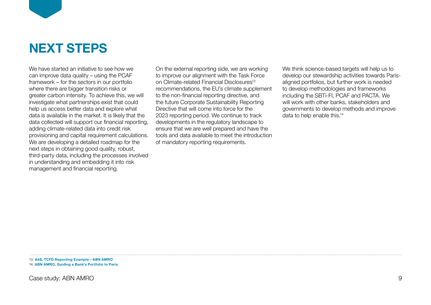

We have started an initiative to see how we can improve data quality – using the PCAF framework – for the sectors in our portfolio where there are bigger transition risks or greater carbon intensity. To achieve this, we will investigate what partnerships exist that could help us access better data and explore what data is available in the market. It is likely that the data collected will support our financial reporting, adding climate-related data into credit risk provisioning and capital requirement calculations. We are developing a detailed roadmap for the next steps in obtaining good quality, robust, third-party data, including the processes involved in understanding and embedding it into risk management and financial reporting.

On the external reporting side, we are working to improve our alignment with the Task Force on Climate-related Financial Disclosures<sup>13</sup> recommendations, the EU's climate supplement to the non-financial reporting directive, and the future Corporate Sustainability Reporting Directive that will come into force for the 2023 reporting period. We continue to track developments in the regulatory landscape to ensure that we are well prepared and have the tools and data available to meet the introduction of mandatory reporting requirements.

We think science-based targets will help us to develop our stewardship activities towards Parisaligned portfolios, but further work is needed to develop methodologies and frameworks including the SBTi-FI, PCAF and PACTA. We will work with other banks, stakeholders and governments to develop methods and improve data to help enable this.<sup>14</sup>

13. **[A4S, TCFD Reporting Example – ABN AMRO](https://www.accountingforsustainability.org/content/dam/a4s/corporate/kh/casestudies/TCFD%20Reporting%20Example%20-%20ABN%20AMRO.pdf.downloadasset.pdf)** 14. **[ABN AMRO, Guiding a Bank's Portfolio to Paris](https://assets.ctfassets.net/1u811bvgvthc/6sGh4HraHXoLD3FBqubLXe/61bff048e460ff735db9357826d39fe6/ABN_AMRO_Guiding_a_Bank-s_Portfolio_to_Paris.pdf)**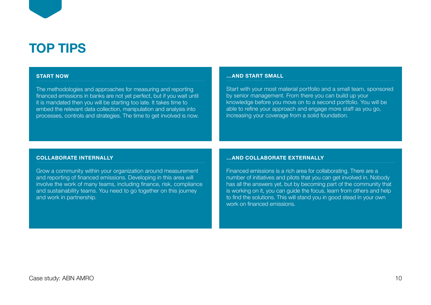# **TOP TIPS**

#### **START NOW**

The methodologies and approaches for measuring and reporting financed emissions in banks are not yet perfect, but if you wait until it is mandated then you will be starting too late. It takes time to embed the relevant data collection, manipulation and analysis into processes, controls and strategies. The time to get involved is now.

#### **…AND START SMALL**

Start with your most material portfolio and a small team, sponsored by senior management. From there you can build up your knowledge before you move on to a second portfolio. You will be able to refine your approach and engage more staff as you go, increasing your coverage from a solid foundation.

#### **COLLABORATE INTERNALLY**

Grow a community within your organization around measurement and reporting of financed emissions. Developing in this area will involve the work of many teams, including finance, risk, compliance and sustainability teams. You need to go together on this journey and work in partnership.

#### **…AND COLLABORATE EXTERNALLY**

Financed emissions is a rich area for collaborating. There are a number of initiatives and pilots that you can get involved in. Nobody has all the answers yet, but by becoming part of the community that is working on it, you can guide the focus, learn from others and help to find the solutions. This will stand you in good stead in your own work on financed emissions.